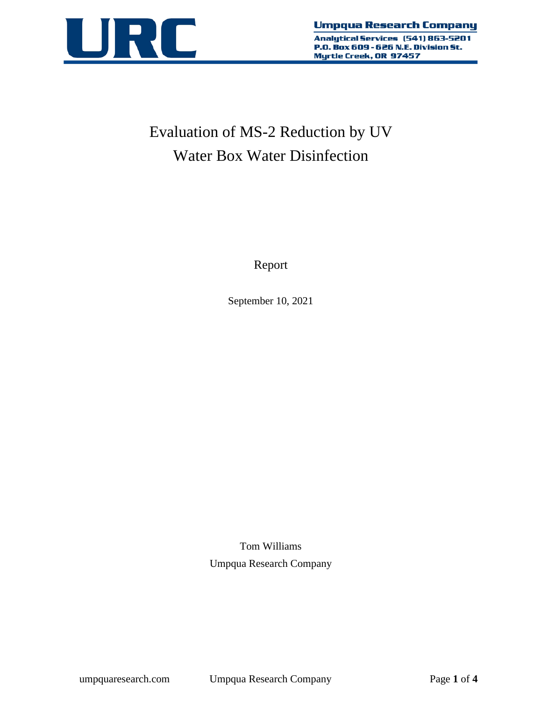

# Evaluation of MS-2 Reduction by UV Water Box Water Disinfection

Report

September 10, 2021

Tom Williams Umpqua Research Company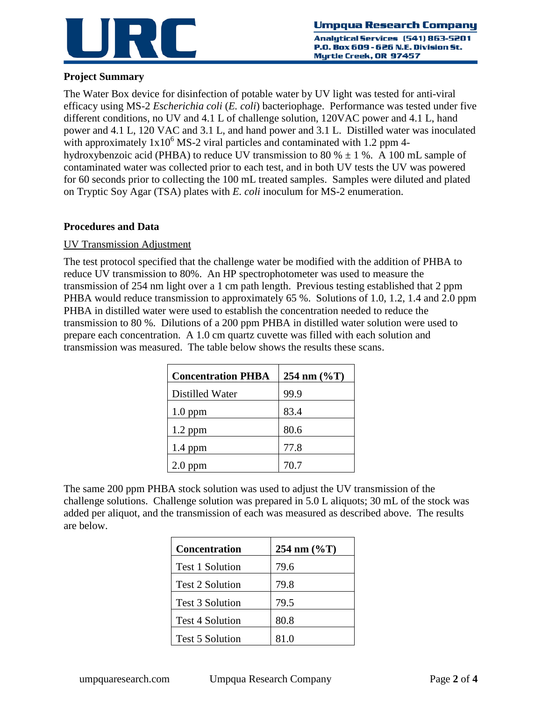

Analutical Services (541) 863-5201 P.O. Box 609 - 626 N.E. Division St. Myrtle Creek, OR 97457

## **Project Summary**

The Water Box device for disinfection of potable water by UV light was tested for anti-viral efficacy using MS-2 *Escherichia coli* (*E. coli*) bacteriophage. Performance was tested under five different conditions, no UV and 4.1 L of challenge solution, 120VAC power and 4.1 L, hand power and 4.1 L, 120 VAC and 3.1 L, and hand power and 3.1 L. Distilled water was inoculated with approximately  $1x10^6$  MS-2 viral particles and contaminated with 1.2 ppm 4hydroxybenzoic acid (PHBA) to reduce UV transmission to 80 %  $\pm$  1 %. A 100 mL sample of contaminated water was collected prior to each test, and in both UV tests the UV was powered for 60 seconds prior to collecting the 100 mL treated samples. Samples were diluted and plated on Tryptic Soy Agar (TSA) plates with *E. coli* inoculum for MS-2 enumeration.

## **Procedures and Data**

#### UV Transmission Adjustment

The test protocol specified that the challenge water be modified with the addition of PHBA to reduce UV transmission to 80%. An HP spectrophotometer was used to measure the transmission of 254 nm light over a 1 cm path length. Previous testing established that 2 ppm PHBA would reduce transmission to approximately 65 %. Solutions of 1.0, 1.2, 1.4 and 2.0 ppm PHBA in distilled water were used to establish the concentration needed to reduce the transmission to 80 %. Dilutions of a 200 ppm PHBA in distilled water solution were used to prepare each concentration. A 1.0 cm quartz cuvette was filled with each solution and transmission was measured. The table below shows the results these scans.

| <b>Concentration PHBA</b> | 254 nm $(\%T)$ |  |  |
|---------------------------|----------------|--|--|
| Distilled Water           | 99.9           |  |  |
| $1.0$ ppm                 | 83.4           |  |  |
| $1.2$ ppm                 | 80.6           |  |  |
| $1.4$ ppm                 | 77.8           |  |  |
| $2.0$ ppm                 | 70.7           |  |  |

The same 200 ppm PHBA stock solution was used to adjust the UV transmission of the challenge solutions. Challenge solution was prepared in 5.0 L aliquots; 30 mL of the stock was added per aliquot, and the transmission of each was measured as described above. The results are below.

| <b>Concentration</b>   | 254 nm $(\%T)$ |  |  |
|------------------------|----------------|--|--|
| <b>Test 1 Solution</b> | 79.6           |  |  |
| <b>Test 2 Solution</b> | 79.8           |  |  |
| <b>Test 3 Solution</b> | 79.5           |  |  |
| <b>Test 4 Solution</b> | 80.8           |  |  |
| <b>Test 5 Solution</b> | 81.0           |  |  |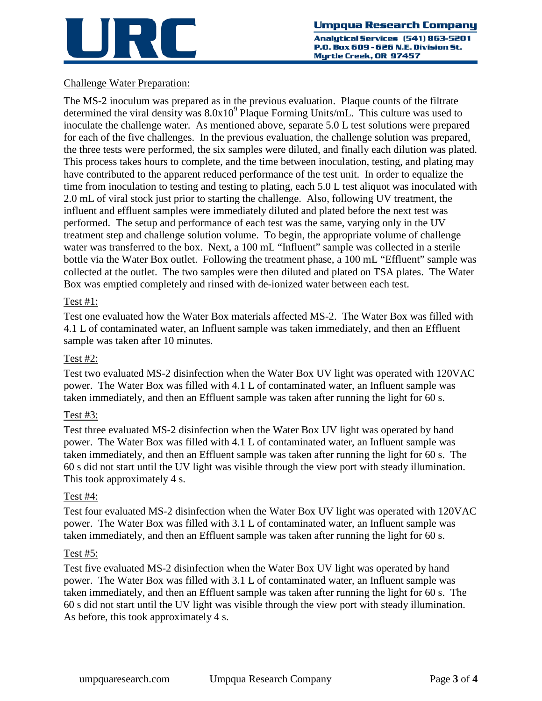

Analutical Services (541) 863-5201 P.O. Box 609 - 626 N.E. Division St. Myrtle Creek, OR 97457

# Challenge Water Preparation:

The MS-2 inoculum was prepared as in the previous evaluation. Plaque counts of the filtrate determined the viral density was  $8.0x10<sup>9</sup>$  Plaque Forming Units/mL. This culture was used to inoculate the challenge water. As mentioned above, separate 5.0 L test solutions were prepared for each of the five challenges. In the previous evaluation, the challenge solution was prepared, the three tests were performed, the six samples were diluted, and finally each dilution was plated. This process takes hours to complete, and the time between inoculation, testing, and plating may have contributed to the apparent reduced performance of the test unit. In order to equalize the time from inoculation to testing and testing to plating, each 5.0 L test aliquot was inoculated with 2.0 mL of viral stock just prior to starting the challenge. Also, following UV treatment, the influent and effluent samples were immediately diluted and plated before the next test was performed. The setup and performance of each test was the same, varying only in the UV treatment step and challenge solution volume. To begin, the appropriate volume of challenge water was transferred to the box. Next, a 100 mL "Influent" sample was collected in a sterile bottle via the Water Box outlet. Following the treatment phase, a 100 mL "Effluent" sample was collected at the outlet. The two samples were then diluted and plated on TSA plates. The Water Box was emptied completely and rinsed with de-ionized water between each test.

## Test #1:

Test one evaluated how the Water Box materials affected MS-2. The Water Box was filled with 4.1 L of contaminated water, an Influent sample was taken immediately, and then an Effluent sample was taken after 10 minutes.

# Test #2:

Test two evaluated MS-2 disinfection when the Water Box UV light was operated with 120VAC power. The Water Box was filled with 4.1 L of contaminated water, an Influent sample was taken immediately, and then an Effluent sample was taken after running the light for 60 s.

# Test #3:

Test three evaluated MS-2 disinfection when the Water Box UV light was operated by hand power. The Water Box was filled with 4.1 L of contaminated water, an Influent sample was taken immediately, and then an Effluent sample was taken after running the light for 60 s. The 60 s did not start until the UV light was visible through the view port with steady illumination. This took approximately 4 s.

#### Test #4:

Test four evaluated MS-2 disinfection when the Water Box UV light was operated with 120VAC power. The Water Box was filled with 3.1 L of contaminated water, an Influent sample was taken immediately, and then an Effluent sample was taken after running the light for 60 s.

#### Test #5:

Test five evaluated MS-2 disinfection when the Water Box UV light was operated by hand power. The Water Box was filled with 3.1 L of contaminated water, an Influent sample was taken immediately, and then an Effluent sample was taken after running the light for 60 s. The 60 s did not start until the UV light was visible through the view port with steady illumination. As before, this took approximately 4 s.